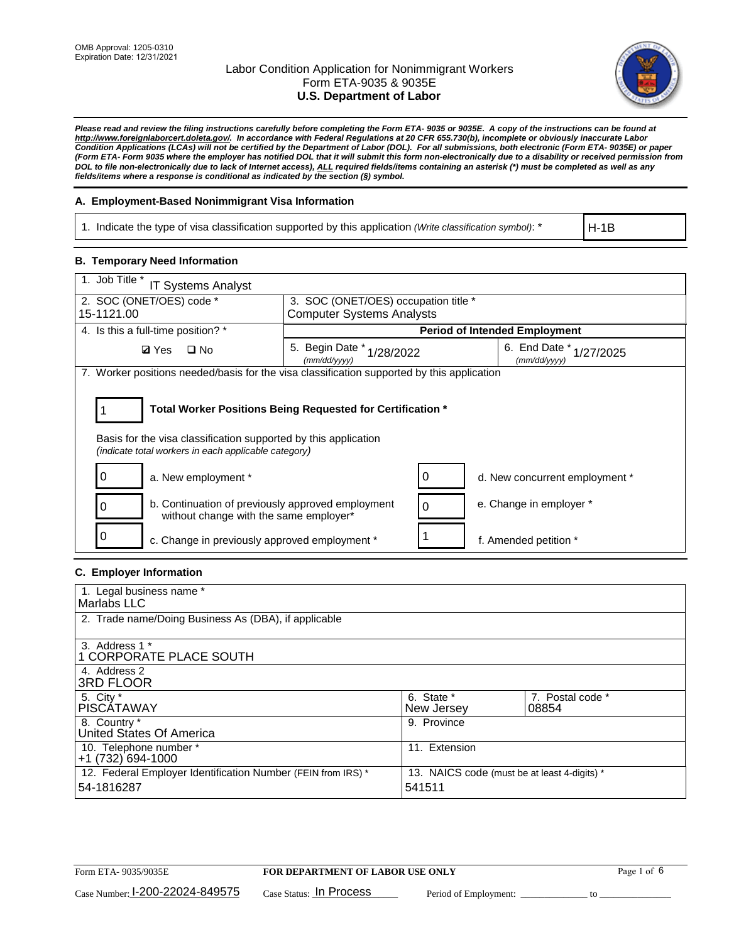

*Please read and review the filing instructions carefully before completing the Form ETA- 9035 or 9035E. A copy of the instructions can be found at http://www.foreignlaborcert.doleta.gov/. In accordance with Federal Regulations at 20 CFR 655.730(b), incomplete or obviously inaccurate Labor Condition Applications (LCAs) will not be certified by the Department of Labor (DOL). For all submissions, both electronic (Form ETA- 9035E) or paper (Form ETA- Form 9035 where the employer has notified DOL that it will submit this form non-electronically due to a disability or received permission from DOL to file non-electronically due to lack of Internet access), ALL required fields/items containing an asterisk (\*) must be completed as well as any fields/items where a response is conditional as indicated by the section (§) symbol.* 

# **A. Employment-Based Nonimmigrant Visa Information**

1. Indicate the type of visa classification supported by this application *(Write classification symbol)*: \*

H-1B

# **B. Temporary Need Information**

| 1. Job Title *<br>IT Systems Analyst                                                                                    |                                                                          |   |                                         |  |  |  |
|-------------------------------------------------------------------------------------------------------------------------|--------------------------------------------------------------------------|---|-----------------------------------------|--|--|--|
| 2. SOC (ONET/OES) code *<br>15-1121.00                                                                                  | 3. SOC (ONET/OES) occupation title *<br><b>Computer Systems Analysts</b> |   |                                         |  |  |  |
|                                                                                                                         |                                                                          |   |                                         |  |  |  |
| 4. Is this a full-time position? *                                                                                      |                                                                          |   | <b>Period of Intended Employment</b>    |  |  |  |
| $\Box$ No<br><b>Ø</b> Yes                                                                                               | 5. Begin Date *<br>1/28/2022<br>(mm/dd/yyyy)                             |   | 6. End Date * 1/27/2025<br>(mm/dd/vvvv) |  |  |  |
| 7. Worker positions needed/basis for the visa classification supported by this application                              |                                                                          |   |                                         |  |  |  |
|                                                                                                                         | Total Worker Positions Being Requested for Certification *               |   |                                         |  |  |  |
|                                                                                                                         |                                                                          |   |                                         |  |  |  |
| Basis for the visa classification supported by this application<br>(indicate total workers in each applicable category) |                                                                          |   |                                         |  |  |  |
| a. New employment *                                                                                                     |                                                                          |   | d. New concurrent employment *          |  |  |  |
| b. Continuation of previously approved employment<br>without change with the same employer*                             |                                                                          | 0 | e. Change in employer *                 |  |  |  |
| c. Change in previously approved employment *                                                                           |                                                                          |   | f. Amended petition *                   |  |  |  |

### **C. Employer Information**

| 1. Legal business name *                                                   |                                                        |                           |
|----------------------------------------------------------------------------|--------------------------------------------------------|---------------------------|
| Marlabs LLC                                                                |                                                        |                           |
| 2. Trade name/Doing Business As (DBA), if applicable                       |                                                        |                           |
| 3. Address 1 *<br>1 CORPORATE PLACE SOUTH<br>4. Address 2                  |                                                        |                           |
| <b>3RD FLOOR</b>                                                           |                                                        |                           |
| 5. City *<br><b>PISCÁTAWAY</b>                                             | 6. State *<br>New Jersey                               | 7. Postal code *<br>08854 |
| 8. Country *<br>United States Of America                                   | 9. Province                                            |                           |
| 10. Telephone number *<br>$+1(732)694-1000$                                | 11. Extension                                          |                           |
| 12. Federal Employer Identification Number (FEIN from IRS) *<br>54-1816287 | 13. NAICS code (must be at least 4-digits) *<br>541511 |                           |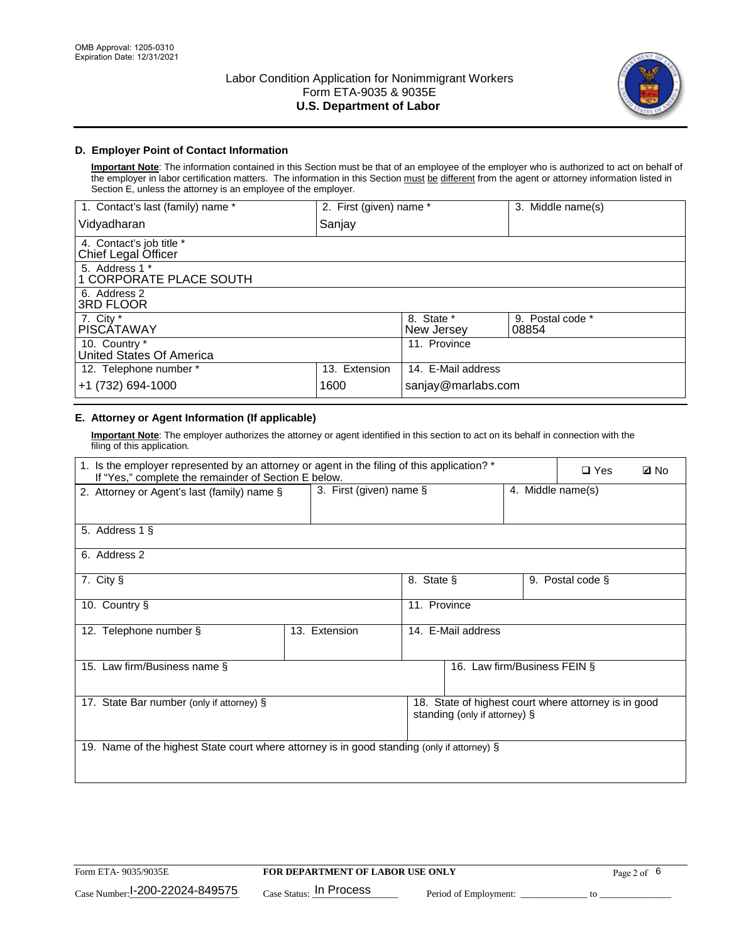

# **D. Employer Point of Contact Information**

**Important Note**: The information contained in this Section must be that of an employee of the employer who is authorized to act on behalf of the employer in labor certification matters. The information in this Section must be different from the agent or attorney information listed in Section E, unless the attorney is an employee of the employer.

| 1. Contact's last (family) name *               | 2. First (given) name * |                          | 3. Middle name(s)         |
|-------------------------------------------------|-------------------------|--------------------------|---------------------------|
| Vidyadharan                                     | Sanjay                  |                          |                           |
| 4. Contact's job title *<br>Chief Legal Officer |                         |                          |                           |
| 5. Address 1 *<br>1 CORPORATE PLACE SOUTH       |                         |                          |                           |
| 6. Address 2<br>3RD FLOOR                       |                         |                          |                           |
| 7. City $*$<br><b>PISCÁTAWAY</b>                |                         | 8. State *<br>New Jersey | 9. Postal code *<br>08854 |
| 10. Country *<br>United States Of America       |                         | 11. Province             |                           |
| 12. Telephone number *                          | 13. Extension           | 14. E-Mail address       |                           |
| +1 (732) 694-1000                               | 1600                    | sanjay@marlabs.com       |                           |

# **E. Attorney or Agent Information (If applicable)**

**Important Note**: The employer authorizes the attorney or agent identified in this section to act on its behalf in connection with the filing of this application.

| 1. Is the employer represented by an attorney or agent in the filing of this application? *<br>If "Yes," complete the remainder of Section E below. |                         | $\Box$ Yes   | <b>ØNo</b>                    |                   |                                                      |  |
|-----------------------------------------------------------------------------------------------------------------------------------------------------|-------------------------|--------------|-------------------------------|-------------------|------------------------------------------------------|--|
| 2. Attorney or Agent's last (family) name §                                                                                                         | 3. First (given) name § |              |                               | 4. Middle name(s) |                                                      |  |
| 5. Address 1 §                                                                                                                                      |                         |              |                               |                   |                                                      |  |
| 6. Address 2                                                                                                                                        |                         |              |                               |                   |                                                      |  |
| 7. City §                                                                                                                                           |                         | 8. State §   |                               |                   | 9. Postal code §                                     |  |
| 10. Country §                                                                                                                                       |                         | 11. Province |                               |                   |                                                      |  |
| 12. Telephone number §                                                                                                                              | 13. Extension           |              | 14. E-Mail address            |                   |                                                      |  |
| 15. Law firm/Business name §                                                                                                                        |                         |              | 16. Law firm/Business FEIN §  |                   |                                                      |  |
| 17. State Bar number (only if attorney) §                                                                                                           |                         |              | standing (only if attorney) § |                   | 18. State of highest court where attorney is in good |  |
| 19. Name of the highest State court where attorney is in good standing (only if attorney) §                                                         |                         |              |                               |                   |                                                      |  |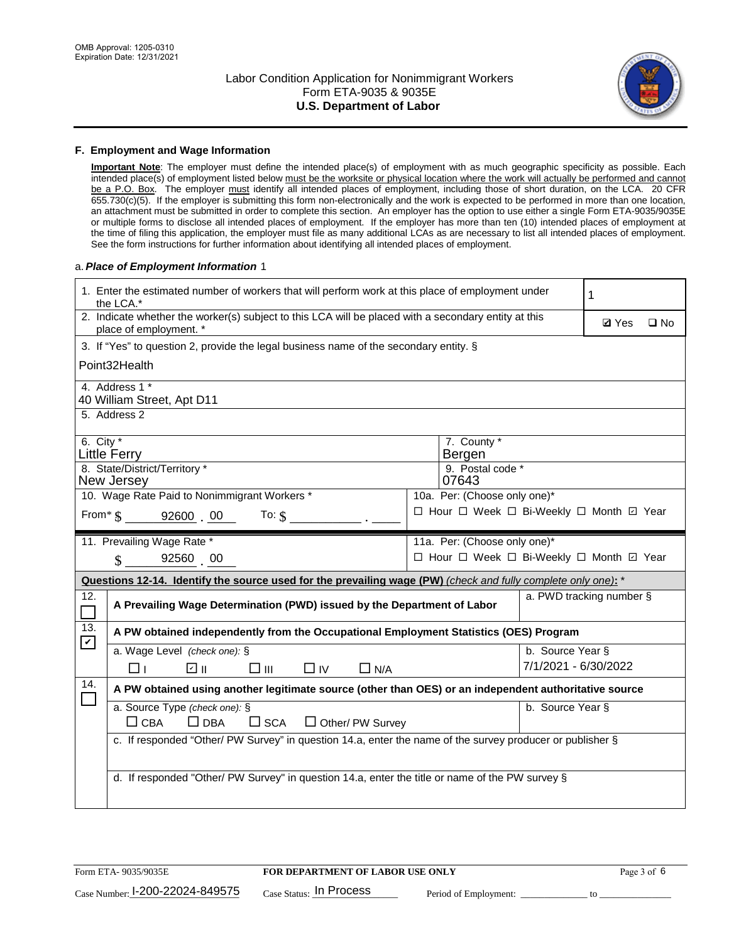

#### **F. Employment and Wage Information**

**Important Note**: The employer must define the intended place(s) of employment with as much geographic specificity as possible. Each intended place(s) of employment listed below must be the worksite or physical location where the work will actually be performed and cannot be a P.O. Box. The employer must identify all intended places of employment, including those of short duration, on the LCA. 20 CFR 655.730(c)(5). If the employer is submitting this form non-electronically and the work is expected to be performed in more than one location, an attachment must be submitted in order to complete this section. An employer has the option to use either a single Form ETA-9035/9035E or multiple forms to disclose all intended places of employment. If the employer has more than ten (10) intended places of employment at the time of filing this application, the employer must file as many additional LCAs as are necessary to list all intended places of employment. See the form instructions for further information about identifying all intended places of employment.

#### a.*Place of Employment Information* 1

|                                                                              | 1. Enter the estimated number of workers that will perform work at this place of employment under<br>the LCA.*                 |  |                                          |                      |                          |              |  |
|------------------------------------------------------------------------------|--------------------------------------------------------------------------------------------------------------------------------|--|------------------------------------------|----------------------|--------------------------|--------------|--|
|                                                                              | 2. Indicate whether the worker(s) subject to this LCA will be placed with a secondary entity at this<br>place of employment. * |  |                                          |                      | <b>Ø</b> Yes             | $\square$ No |  |
|                                                                              | 3. If "Yes" to question 2, provide the legal business name of the secondary entity. §                                          |  |                                          |                      |                          |              |  |
|                                                                              | Point32Health                                                                                                                  |  |                                          |                      |                          |              |  |
|                                                                              | 4. Address 1 *<br>40 William Street, Apt D11                                                                                   |  |                                          |                      |                          |              |  |
|                                                                              | 5. Address 2                                                                                                                   |  |                                          |                      |                          |              |  |
|                                                                              | 6. City $*$<br>7. County *<br><b>Little Ferry</b><br>Bergen                                                                    |  |                                          |                      |                          |              |  |
|                                                                              | 8. State/District/Territory *<br>New Jersey                                                                                    |  | 9. Postal code *<br>07643                |                      |                          |              |  |
| 10. Wage Rate Paid to Nonimmigrant Workers *<br>10a. Per: (Choose only one)* |                                                                                                                                |  |                                          |                      |                          |              |  |
|                                                                              | □ Hour □ Week □ Bi-Weekly □ Month ☑ Year<br>From* \$ 92600 00<br>To: $$$                                                       |  |                                          |                      |                          |              |  |
|                                                                              | 11. Prevailing Wage Rate *                                                                                                     |  | 11a. Per: (Choose only one)*             |                      |                          |              |  |
|                                                                              | $\sin 92560 00$                                                                                                                |  | □ Hour □ Week □ Bi-Weekly □ Month ☑ Year |                      |                          |              |  |
|                                                                              | Questions 12-14. Identify the source used for the prevailing wage (PW) (check and fully complete only one): *                  |  |                                          |                      |                          |              |  |
| 12.                                                                          | A Prevailing Wage Determination (PWD) issued by the Department of Labor                                                        |  |                                          |                      | a. PWD tracking number § |              |  |
| 13.<br>$\mathbf v$                                                           | A PW obtained independently from the Occupational Employment Statistics (OES) Program                                          |  |                                          |                      |                          |              |  |
|                                                                              | a. Wage Level (check one): §                                                                                                   |  |                                          | b. Source Year §     |                          |              |  |
|                                                                              | ☑ ⊪<br>$\square$ $\square$<br>$\Box$ IV<br>$\Box$ N/A<br>□⊥                                                                    |  |                                          | 7/1/2021 - 6/30/2022 |                          |              |  |
| 14.                                                                          | A PW obtained using another legitimate source (other than OES) or an independent authoritative source                          |  |                                          |                      |                          |              |  |
|                                                                              | a. Source Type (check one): §<br>$\Box$ CBA<br>$\Box$ DBA<br>$\square$ SCA<br>$\Box$ Other/ PW Survey                          |  |                                          | b. Source Year §     |                          |              |  |
|                                                                              | c. If responded "Other/ PW Survey" in question 14.a, enter the name of the survey producer or publisher §                      |  |                                          |                      |                          |              |  |
|                                                                              | d. If responded "Other/ PW Survey" in question 14.a, enter the title or name of the PW survey §                                |  |                                          |                      |                          |              |  |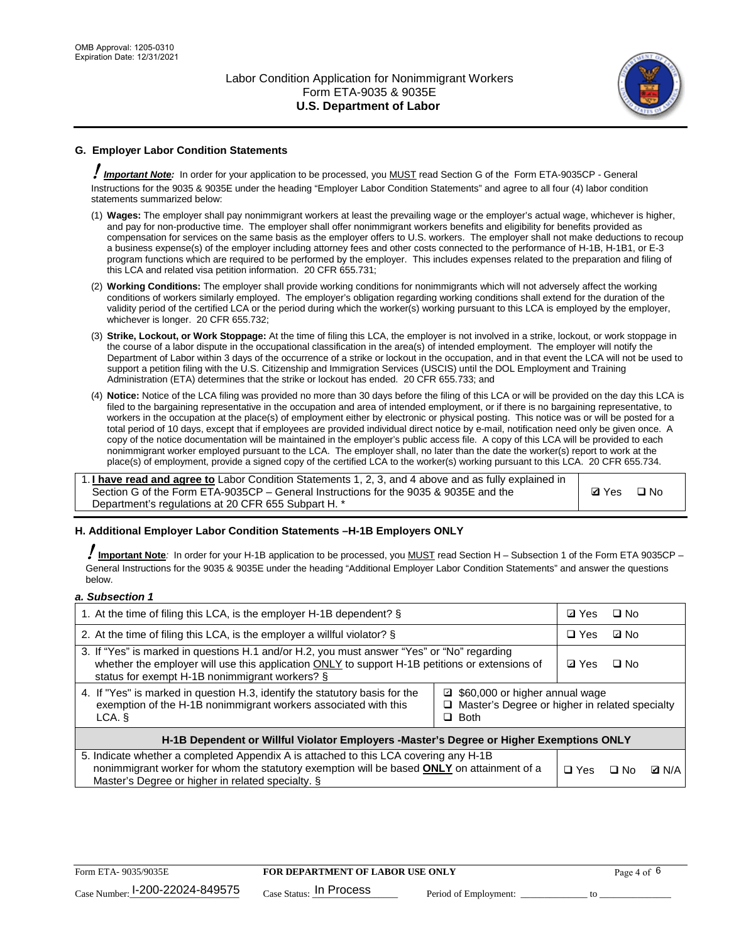

# **G. Employer Labor Condition Statements**

! *Important Note:* In order for your application to be processed, you MUST read Section G of the Form ETA-9035CP - General Instructions for the 9035 & 9035E under the heading "Employer Labor Condition Statements" and agree to all four (4) labor condition statements summarized below:

- (1) **Wages:** The employer shall pay nonimmigrant workers at least the prevailing wage or the employer's actual wage, whichever is higher, and pay for non-productive time. The employer shall offer nonimmigrant workers benefits and eligibility for benefits provided as compensation for services on the same basis as the employer offers to U.S. workers. The employer shall not make deductions to recoup a business expense(s) of the employer including attorney fees and other costs connected to the performance of H-1B, H-1B1, or E-3 program functions which are required to be performed by the employer. This includes expenses related to the preparation and filing of this LCA and related visa petition information. 20 CFR 655.731;
- (2) **Working Conditions:** The employer shall provide working conditions for nonimmigrants which will not adversely affect the working conditions of workers similarly employed. The employer's obligation regarding working conditions shall extend for the duration of the validity period of the certified LCA or the period during which the worker(s) working pursuant to this LCA is employed by the employer, whichever is longer. 20 CFR 655.732;
- (3) **Strike, Lockout, or Work Stoppage:** At the time of filing this LCA, the employer is not involved in a strike, lockout, or work stoppage in the course of a labor dispute in the occupational classification in the area(s) of intended employment. The employer will notify the Department of Labor within 3 days of the occurrence of a strike or lockout in the occupation, and in that event the LCA will not be used to support a petition filing with the U.S. Citizenship and Immigration Services (USCIS) until the DOL Employment and Training Administration (ETA) determines that the strike or lockout has ended. 20 CFR 655.733; and
- (4) **Notice:** Notice of the LCA filing was provided no more than 30 days before the filing of this LCA or will be provided on the day this LCA is filed to the bargaining representative in the occupation and area of intended employment, or if there is no bargaining representative, to workers in the occupation at the place(s) of employment either by electronic or physical posting. This notice was or will be posted for a total period of 10 days, except that if employees are provided individual direct notice by e-mail, notification need only be given once. A copy of the notice documentation will be maintained in the employer's public access file. A copy of this LCA will be provided to each nonimmigrant worker employed pursuant to the LCA. The employer shall, no later than the date the worker(s) report to work at the place(s) of employment, provide a signed copy of the certified LCA to the worker(s) working pursuant to this LCA. 20 CFR 655.734.

1. **I have read and agree to** Labor Condition Statements 1, 2, 3, and 4 above and as fully explained in Section G of the Form ETA-9035CP – General Instructions for the 9035 & 9035E and the Department's regulations at 20 CFR 655 Subpart H. \*

**Ø**Yes ロNo

### **H. Additional Employer Labor Condition Statements –H-1B Employers ONLY**

!**Important Note***:* In order for your H-1B application to be processed, you MUST read Section H – Subsection 1 of the Form ETA 9035CP – General Instructions for the 9035 & 9035E under the heading "Additional Employer Labor Condition Statements" and answer the questions below.

#### *a. Subsection 1*

| 1. At the time of filing this LCA, is the employer H-1B dependent? §                                                                                                                                                                                          | ⊡ Yes | □ No       |           |              |
|---------------------------------------------------------------------------------------------------------------------------------------------------------------------------------------------------------------------------------------------------------------|-------|------------|-----------|--------------|
| 2. At the time of filing this LCA, is the employer a willful violator? $\S$                                                                                                                                                                                   |       | $\Box$ Yes | ⊡ No      |              |
| 3. If "Yes" is marked in questions H.1 and/or H.2, you must answer "Yes" or "No" regarding<br>whether the employer will use this application ONLY to support H-1B petitions or extensions of<br>status for exempt H-1B nonimmigrant workers? §                |       |            | $\Box$ No |              |
| 4. If "Yes" is marked in question H.3, identify the statutory basis for the<br>■ \$60,000 or higher annual wage<br>exemption of the H-1B nonimmigrant workers associated with this<br>□ Master's Degree or higher in related specialty<br>$\Box$ Both<br>LCA. |       |            |           |              |
| H-1B Dependent or Willful Violator Employers -Master's Degree or Higher Exemptions ONLY                                                                                                                                                                       |       |            |           |              |
| 5. Indicate whether a completed Appendix A is attached to this LCA covering any H-1B<br>nonimmigrant worker for whom the statutory exemption will be based <b>ONLY</b> on attainment of a<br>Master's Degree or higher in related specialty. §                |       |            | ⊡ No      | <b>D</b> N/A |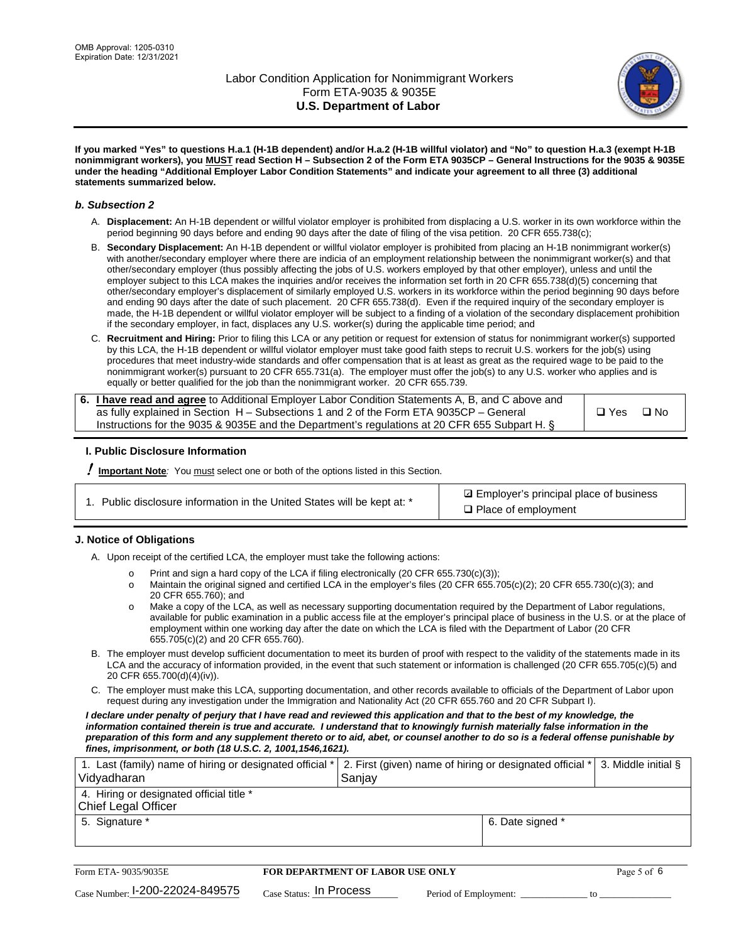

**If you marked "Yes" to questions H.a.1 (H-1B dependent) and/or H.a.2 (H-1B willful violator) and "No" to question H.a.3 (exempt H-1B nonimmigrant workers), you MUST read Section H – Subsection 2 of the Form ETA 9035CP – General Instructions for the 9035 & 9035E under the heading "Additional Employer Labor Condition Statements" and indicate your agreement to all three (3) additional statements summarized below.**

#### *b. Subsection 2*

- A. **Displacement:** An H-1B dependent or willful violator employer is prohibited from displacing a U.S. worker in its own workforce within the period beginning 90 days before and ending 90 days after the date of filing of the visa petition. 20 CFR 655.738(c);
- B. **Secondary Displacement:** An H-1B dependent or willful violator employer is prohibited from placing an H-1B nonimmigrant worker(s) with another/secondary employer where there are indicia of an employment relationship between the nonimmigrant worker(s) and that other/secondary employer (thus possibly affecting the jobs of U.S. workers employed by that other employer), unless and until the employer subject to this LCA makes the inquiries and/or receives the information set forth in 20 CFR 655.738(d)(5) concerning that other/secondary employer's displacement of similarly employed U.S. workers in its workforce within the period beginning 90 days before and ending 90 days after the date of such placement. 20 CFR 655.738(d). Even if the required inquiry of the secondary employer is made, the H-1B dependent or willful violator employer will be subject to a finding of a violation of the secondary displacement prohibition if the secondary employer, in fact, displaces any U.S. worker(s) during the applicable time period; and
- C. **Recruitment and Hiring:** Prior to filing this LCA or any petition or request for extension of status for nonimmigrant worker(s) supported by this LCA, the H-1B dependent or willful violator employer must take good faith steps to recruit U.S. workers for the job(s) using procedures that meet industry-wide standards and offer compensation that is at least as great as the required wage to be paid to the nonimmigrant worker(s) pursuant to 20 CFR 655.731(a). The employer must offer the job(s) to any U.S. worker who applies and is equally or better qualified for the job than the nonimmigrant worker. 20 CFR 655.739.

| 6. I have read and agree to Additional Employer Labor Condition Statements A, B, and C above and |       |           |
|--------------------------------------------------------------------------------------------------|-------|-----------|
| as fully explained in Section H – Subsections 1 and 2 of the Form ETA 9035CP – General           | □ Yes | $\Box$ No |
| Instructions for the 9035 & 9035E and the Department's regulations at 20 CFR 655 Subpart H. §    |       |           |

### **I. Public Disclosure Information**

! **Important Note***:* You must select one or both of the options listed in this Section.

|  | 1. Public disclosure information in the United States will be kept at: * |  |  |  |
|--|--------------------------------------------------------------------------|--|--|--|
|  |                                                                          |  |  |  |

**sqrt** Employer's principal place of business □ Place of employment

### **J. Notice of Obligations**

A. Upon receipt of the certified LCA, the employer must take the following actions:

- o Print and sign a hard copy of the LCA if filing electronically (20 CFR 655.730(c)(3));<br>
Maintain the original signed and certified LCA in the employer's files (20 CFR 655.7
- Maintain the original signed and certified LCA in the employer's files (20 CFR 655.705(c)(2); 20 CFR 655.730(c)(3); and 20 CFR 655.760); and
- o Make a copy of the LCA, as well as necessary supporting documentation required by the Department of Labor regulations, available for public examination in a public access file at the employer's principal place of business in the U.S. or at the place of employment within one working day after the date on which the LCA is filed with the Department of Labor (20 CFR 655.705(c)(2) and 20 CFR 655.760).
- B. The employer must develop sufficient documentation to meet its burden of proof with respect to the validity of the statements made in its LCA and the accuracy of information provided, in the event that such statement or information is challenged (20 CFR 655.705(c)(5) and 20 CFR 655.700(d)(4)(iv)).
- C. The employer must make this LCA, supporting documentation, and other records available to officials of the Department of Labor upon request during any investigation under the Immigration and Nationality Act (20 CFR 655.760 and 20 CFR Subpart I).

*I declare under penalty of perjury that I have read and reviewed this application and that to the best of my knowledge, the*  information contained therein is true and accurate. I understand that to knowingly furnish materially false information in the *preparation of this form and any supplement thereto or to aid, abet, or counsel another to do so is a federal offense punishable by fines, imprisonment, or both (18 U.S.C. 2, 1001,1546,1621).*

| 1. Last (family) name of hiring or designated official *   2. First (given) name of hiring or designated official *   3. Middle initial §<br>Vidyadharan | Saniav           |  |
|----------------------------------------------------------------------------------------------------------------------------------------------------------|------------------|--|
| 4. Hiring or designated official title *<br>Chief Legal Officer                                                                                          |                  |  |
| 5. Signature *                                                                                                                                           | 6. Date signed * |  |

| Form ETA-9035/9035E                         | <b>FOR DEPARTMENT OF LABOR USE ONLY</b> | Page 5 of 6           |  |
|---------------------------------------------|-----------------------------------------|-----------------------|--|
| $_{\text{Case Number:}}$ I-200-22024-849575 | $_{\rm Case~S status:}$ In Process      | Period of Employment: |  |